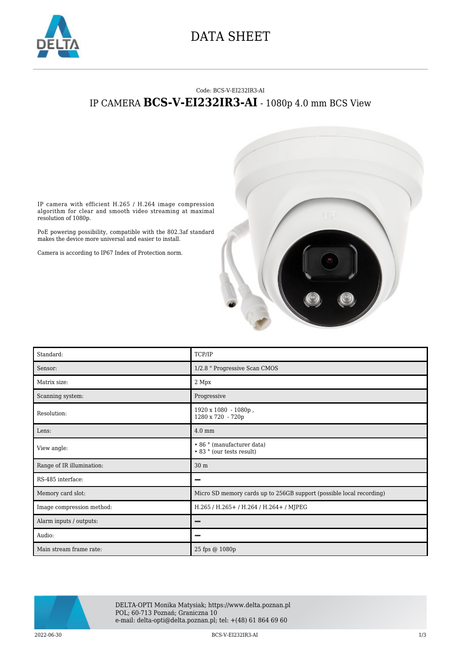

## DATA SHEET

## Code: BCS-V-EI232IR3-AI IP CAMERA **BCS-V-EI232IR3-AI** - 1080p 4.0 mm BCS View



IP camera with efficient H.265 / H.264 image compression algorithm for clear and smooth video streaming at maximal resolution of 1080p.

PoE powering possibility, compatible with the 802.3af standard makes the device more universal and easier to install.

Camera is according to IP67 Index of Protection norm.

| Standard:                 | TCP/IP                                                               |
|---------------------------|----------------------------------------------------------------------|
| Sensor:                   | 1/2.8 " Progressive Scan CMOS                                        |
| Matrix size:              | 2 Mpx                                                                |
| Scanning system:          | Progressive                                                          |
| Resolution:               | 1920 x 1080 - 1080p,<br>1280 x 720 - 720p                            |
| Lens:                     | $4.0 \text{ mm}$                                                     |
| View angle:               | • 86 ° (manufacturer data)<br>• 83 ° (our tests result)              |
| Range of IR illumination: | 30 m                                                                 |
| RS-485 interface:         | -                                                                    |
| Memory card slot:         | Micro SD memory cards up to 256GB support (possible local recording) |
| Image compression method: | H.265 / H.265+ / H.264 / H.264+ / MJPEG                              |
| Alarm inputs / outputs:   |                                                                      |
| Audio:                    |                                                                      |
| Main stream frame rate:   | 25 fps @ 1080p                                                       |



DELTA-OPTI Monika Matysiak; https://www.delta.poznan.pl POL; 60-713 Poznań; Graniczna 10 e-mail: delta-opti@delta.poznan.pl; tel: +(48) 61 864 69 60

2022-06-30 BCS-V-EI232IR3-AI 1/3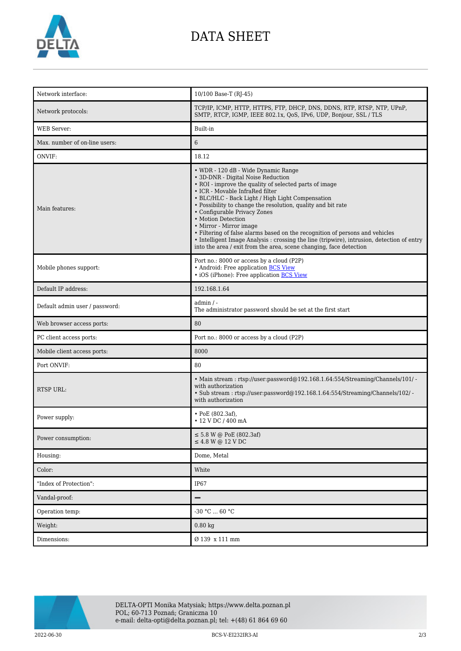

## DATA SHEET

| Network interface:             | 10/100 Base-T (RJ-45)                                                                                                                                                                                                                                                                                                                                                                                                                                                                                                                                                                                                           |
|--------------------------------|---------------------------------------------------------------------------------------------------------------------------------------------------------------------------------------------------------------------------------------------------------------------------------------------------------------------------------------------------------------------------------------------------------------------------------------------------------------------------------------------------------------------------------------------------------------------------------------------------------------------------------|
| Network protocols:             | TCP/IP, ICMP, HTTP, HTTPS, FTP, DHCP, DNS, DDNS, RTP, RTSP, NTP, UPnP,<br>SMTP, RTCP, IGMP, IEEE 802.1x, QoS, IPv6, UDP, Bonjour, SSL / TLS                                                                                                                                                                                                                                                                                                                                                                                                                                                                                     |
| <b>WEB</b> Server:             | Built-in                                                                                                                                                                                                                                                                                                                                                                                                                                                                                                                                                                                                                        |
| Max. number of on-line users:  | 6                                                                                                                                                                                                                                                                                                                                                                                                                                                                                                                                                                                                                               |
| ONVIF:                         | 18.12                                                                                                                                                                                                                                                                                                                                                                                                                                                                                                                                                                                                                           |
| Main features:                 | • WDR - 120 dB - Wide Dynamic Range<br>• 3D-DNR - Digital Noise Reduction<br>• ROI - improve the quality of selected parts of image<br>• ICR - Movable InfraRed filter<br>• BLC/HLC - Back Light / High Light Compensation<br>• Possibility to change the resolution, quality and bit rate<br>• Configurable Privacy Zones<br>• Motion Detection<br>• Mirror - Mirror image<br>• Filtering of false alarms based on the recognition of persons and vehicles<br>• Intelligent Image Analysis : crossing the line (tripwire), intrusion, detection of entry<br>into the area / exit from the area, scene changing, face detection |
| Mobile phones support:         | Port no.: 8000 or access by a cloud (P2P)<br>• Android: Free application BCS View<br>• iOS (iPhone): Free application BCS View                                                                                                                                                                                                                                                                                                                                                                                                                                                                                                  |
| Default IP address:            | 192.168.1.64                                                                                                                                                                                                                                                                                                                                                                                                                                                                                                                                                                                                                    |
| Default admin user / password: | $admin / -$<br>The administrator password should be set at the first start                                                                                                                                                                                                                                                                                                                                                                                                                                                                                                                                                      |
| Web browser access ports:      | 80                                                                                                                                                                                                                                                                                                                                                                                                                                                                                                                                                                                                                              |
| PC client access ports:        | Port no.: 8000 or access by a cloud (P2P)                                                                                                                                                                                                                                                                                                                                                                                                                                                                                                                                                                                       |
|                                |                                                                                                                                                                                                                                                                                                                                                                                                                                                                                                                                                                                                                                 |
| Mobile client access ports:    | 8000                                                                                                                                                                                                                                                                                                                                                                                                                                                                                                                                                                                                                            |
| Port ONVIF:                    | 80                                                                                                                                                                                                                                                                                                                                                                                                                                                                                                                                                                                                                              |
| <b>RTSP URL:</b>               | • Main stream: rtsp://user.password@192.168.1.64:554/Streaming/Channels/101/ -<br>with authorization<br>· Sub stream: rtsp://user:password@192.168.1.64:554/Streaming/Channels/102/ -<br>with authorization                                                                                                                                                                                                                                                                                                                                                                                                                     |
| Power supply:                  | $\cdot$ PoE (802.3af),<br>• 12 V DC / 400 mA                                                                                                                                                                                                                                                                                                                                                                                                                                                                                                                                                                                    |
| Power consumption:             | $\leq$ 5.8 W @ PoE (802.3af)<br>$\leq$ 4.8 W @ 12 V DC                                                                                                                                                                                                                                                                                                                                                                                                                                                                                                                                                                          |
| Housing:                       | Dome, Metal                                                                                                                                                                                                                                                                                                                                                                                                                                                                                                                                                                                                                     |
| Color:                         | White                                                                                                                                                                                                                                                                                                                                                                                                                                                                                                                                                                                                                           |
| "Index of Protection":         | IP67                                                                                                                                                                                                                                                                                                                                                                                                                                                                                                                                                                                                                            |
| Vandal-proof:                  | $\qquad \qquad -$                                                                                                                                                                                                                                                                                                                                                                                                                                                                                                                                                                                                               |
| Operation temp:                | $-30 °C  60 °C$                                                                                                                                                                                                                                                                                                                                                                                                                                                                                                                                                                                                                 |
| Weight:                        | $0.80$ kg                                                                                                                                                                                                                                                                                                                                                                                                                                                                                                                                                                                                                       |